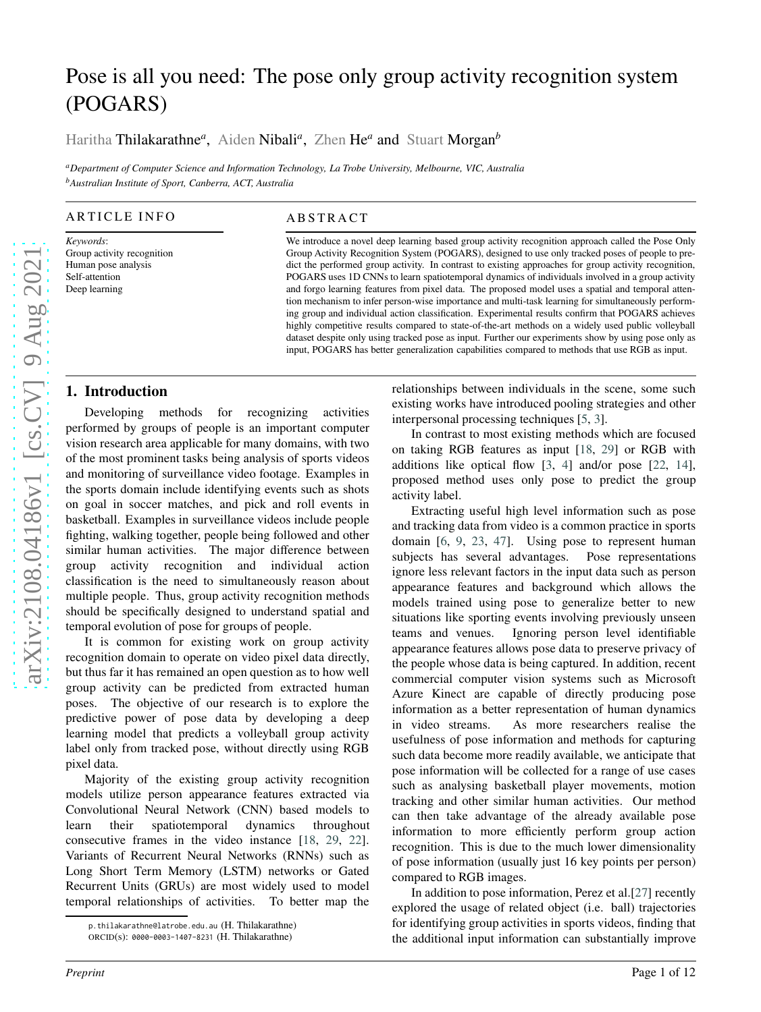# Pose is all you need: The pose only group activity recognition system (POGARS)

Haritha Thilakarathne<sup>a</sup>, Aiden Nibali<sup>a</sup>, Zhen He<sup>a</sup> and Stuart Morgan<sup>b</sup>

*<sup>a</sup>Department of Computer Science and Information Technology, La Trobe University, Melbourne, VIC, Australia <sup>b</sup>Australian Institute of Sport, Canberra, ACT, Australia*

#### **ARTICLE INFO**

*Keywords* : Group activity recognition Human pose analysis Self-attention Deep learning

#### **ABSTRACT**

We introduce a novel deep learning based group activity recognition approach called the Pose Only Group Activity Recognition System (POGARS), designed to use only tracked poses of people to predict the performed group activity. In contrast to existing approaches for group activity recognition, POGARS uses 1D CNNs to learn spatiotemporal dynamics of individuals involved in a group activity and forgo learning features from pixel data. The proposed model uses a spatial and temporal attention mechanism to infer person-wise importance and multi-task learning for simultaneously performing group and individual action classification. Experimental results confirm that POGARS achieves highly competitive results compared to state-of-the-art methods on a widely used public volleyball dataset despite only using tracked pose as input. Further our experiments show by using pose only as input, POGARS has better generalization capabilities compared to methods that use RGB as input.

#### **1. Introduction**

Developing methods for recognizing activities performed by groups of people is an important computer vision research area applicable for many domains, with two of the most prominent tasks being analysis of sports videos and monitoring of surveillance video footage. Examples in the sports domain include identifying events such as shots on goal in soccer matches, and pick and roll events in basketball. Examples in surveillance videos include peopl e fighting, walking together, people being followed and other similar human activities. The major difference between group activity recognition and individual action classification is the need to simultaneously reason about multiple people. Thus, group activity recognition methods should be specifically designed to understand spatial and temporal evolution of pose for groups of people.

It is common for existing work on group activity recognition domain to operate on video pixel data directly, but thus far it has remained an open question as to how well group activity can be predicted from extracted human poses. The objective of our research is to explore the predictive power of pose data by developing a deep learning model that predicts a volleyball group activity label only from tracked pose, without directly using RGB pixel data.

Majority of the existing group activity recognition models utilize person appearance features extracted via Convolutional Neural Network (CNN) based models to learn their spatiotemporal dynamics throughout consecutive frames in the video instance [\[18](#page-10-0) , [29](#page-10-1) , [22\]](#page-10-2). Variants of Recurrent Neural Networks (RNNs) such as Long Short Term Memory (LSTM) networks or Gated Recurrent Units (GRUs) are most widely used to model temporal relationships of activities. To better map the

relationships between individuals in the scene, some such existing works have introduced pooling strategies and othe r interpersonal processing techniques [ [5](#page-9-0) , [3\]](#page-9-1).

In contrast to most existing methods which are focused on taking RGB features as input [\[18](#page-10-0) , [29](#page-10-1)] or RGB with additions like optical flow [ [3](#page-9-1) , [4](#page-9-2)] and/or pose [\[22](#page-10-2) , [14](#page-10-3)], proposed method uses only pose to predict the group activity label.

Extracting useful high level information such as pose and tracking data from video is a common practice in sports domain [[6](#page-9-3), [9](#page-10-4), [23](#page-10-5), [47](#page-11-0)]. Using pose to represent human subjects has several advantages. Pose representations ignore less relevant factors in the input data such as person appearance features and background which allows the models trained using pose to generalize better to new situations like sporting events involving previously unseen teams and venues. Ignoring person level identifiable appearance features allows pose data to preserve privacy of the people whose data is being captured. In addition, recent commercial computer vision systems such as Microsoft Azure Kinect are capable of directly producing pose information as a better representation of human dynamics in video streams. As more researchers realise the usefulness of pose information and methods for capturing such data become more readily available, we anticipate that pose information will be collected for a range of use cases such as analysing basketball player movements, motion tracking and other similar human activities. Our method can then take advantage of the already available pose information to more efficiently perform group action recognition. This is due to the much lower dimensionality of pose information (usually just 16 key points per person) compared to RGB images.

In addition to pose information, Perez et al.[\[27\]](#page-10-6) recently explored the usage of related object (i.e. ball) trajectories for identifying group activities in sports videos, finding that the additional input information can substantially improv e

p.thilakarathne@latrobe.edu.au (H. Thilakarathne)

ORCID(s): 0000-0003-1407-8231 (H. Thilakarathne)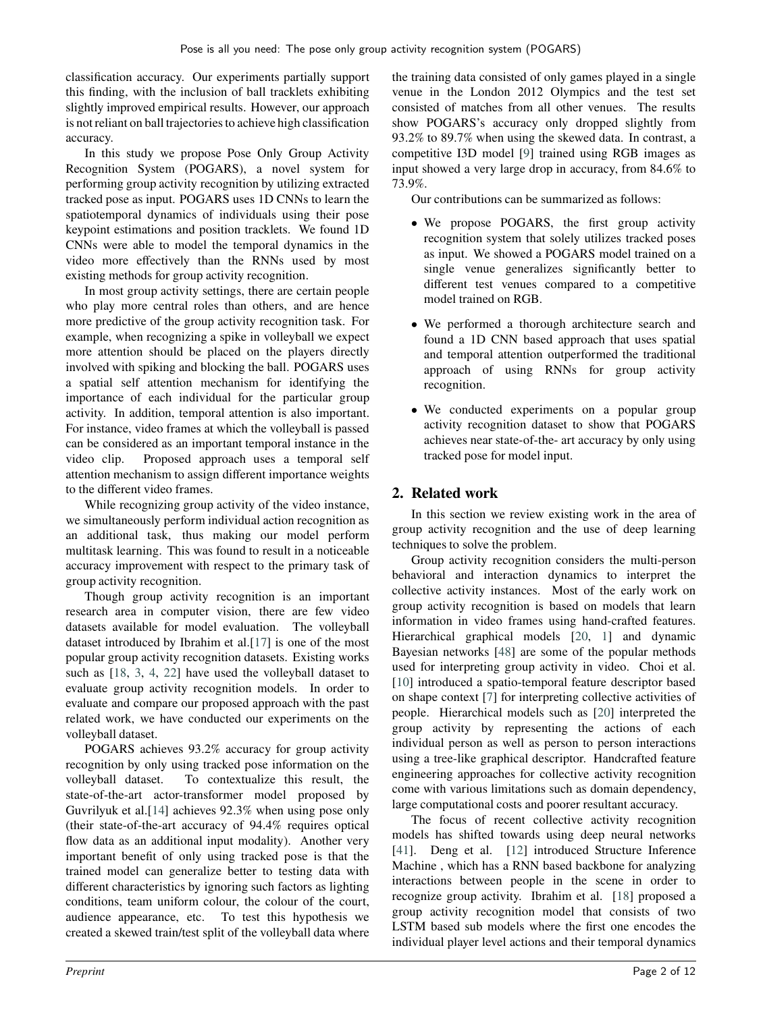classification accuracy. Our experiments partially support this finding, with the inclusion of ball tracklets exhibiting slightly improved empirical results. However, our approach is not reliant on ball trajectories to achieve high classification accuracy.

In this study we propose Pose Only Group Activity Recognition System (POGARS), a novel system for performing group activity recognition by utilizing extracted tracked pose as input. POGARS uses 1D CNNs to learn the spatiotemporal dynamics of individuals using their pose keypoint estimations and position tracklets. We found 1D CNNs were able to model the temporal dynamics in the video more effectively than the RNNs used by most existing methods for group activity recognition.

In most group activity settings, there are certain people who play more central roles than others, and are hence more predictive of the group activity recognition task. For example, when recognizing a spike in volleyball we expect more attention should be placed on the players directly involved with spiking and blocking the ball. POGARS uses a spatial self attention mechanism for identifying the importance of each individual for the particular group activity. In addition, temporal attention is also important. For instance, video frames at which the volleyball is passed can be considered as an important temporal instance in the video clip. Proposed approach uses a temporal self attention mechanism to assign different importance weights to the different video frames.

While recognizing group activity of the video instance, we simultaneously perform individual action recognition as an additional task, thus making our model perform multitask learning. This was found to result in a noticeable accuracy improvement with respect to the primary task of group activity recognition.

Though group activity recognition is an important research area in computer vision, there are few video datasets available for model evaluation. The volleyball dataset introduced by Ibrahim et al.[\[17\]](#page-10-7) is one of the most popular group activity recognition datasets. Existing works such as [\[18,](#page-10-0) [3](#page-9-1), [4,](#page-9-2) [22](#page-10-2)] have used the volleyball dataset to evaluate group activity recognition models. In order to evaluate and compare our proposed approach with the past related work, we have conducted our experiments on the volleyball dataset.

POGARS achieves 93.2% accuracy for group activity recognition by only using tracked pose information on the volleyball dataset. To contextualize this result, the state-of-the-art actor-transformer model proposed by Guvrilyuk et al.[\[14\]](#page-10-3) achieves 92.3% when using pose only (their state-of-the-art accuracy of 94.4% requires optical flow data as an additional input modality). Another very important benefit of only using tracked pose is that the trained model can generalize better to testing data with different characteristics by ignoring such factors as lighting conditions, team uniform colour, the colour of the court, audience appearance, etc. To test this hypothesis we created a skewed train/test split of the volleyball data where

the training data consisted of only games played in a single venue in the London 2012 Olympics and the test set consisted of matches from all other venues. The results show POGARS's accuracy only dropped slightly from 93.2% to 89.7% when using the skewed data. In contrast, a competitive I3D model [\[9](#page-10-4)] trained using RGB images as input showed a very large drop in accuracy, from 84.6% to 73.9%.

Our contributions can be summarized as follows:

- We propose POGARS, the first group activity recognition system that solely utilizes tracked poses as input. We showed a POGARS model trained on a single venue generalizes significantly better to different test venues compared to a competitive model trained on RGB.
- We performed a thorough architecture search and found a 1D CNN based approach that uses spatial and temporal attention outperformed the traditional approach of using RNNs for group activity recognition.
- We conducted experiments on a popular group activity recognition dataset to show that POGARS achieves near state-of-the- art accuracy by only using tracked pose for model input.

# **2. Related work**

In this section we review existing work in the area of group activity recognition and the use of deep learning techniques to solve the problem.

Group activity recognition considers the multi-person behavioral and interaction dynamics to interpret the collective activity instances. Most of the early work on group activity recognition is based on models that learn information in video frames using hand-crafted features. Hierarchical graphical models [\[20,](#page-10-8) [1](#page-9-4)] and dynamic Bayesian networks [\[48\]](#page-11-1) are some of the popular methods used for interpreting group activity in video. Choi et al. [\[10\]](#page-10-9) introduced a spatio-temporal feature descriptor based on shape context [\[7\]](#page-9-5) for interpreting collective activities of people. Hierarchical models such as [\[20](#page-10-8)] interpreted the group activity by representing the actions of each individual person as well as person to person interactions using a tree-like graphical descriptor. Handcrafted feature engineering approaches for collective activity recognition come with various limitations such as domain dependency, large computational costs and poorer resultant accuracy.

The focus of recent collective activity recognition models has shifted towards using deep neural networks [\[41\]](#page-10-10). Deng et al. [\[12](#page-10-11)] introduced Structure Inference Machine , which has a RNN based backbone for analyzing interactions between people in the scene in order to recognize group activity. Ibrahim et al. [\[18](#page-10-0)] proposed a group activity recognition model that consists of two LSTM based sub models where the first one encodes the individual player level actions and their temporal dynamics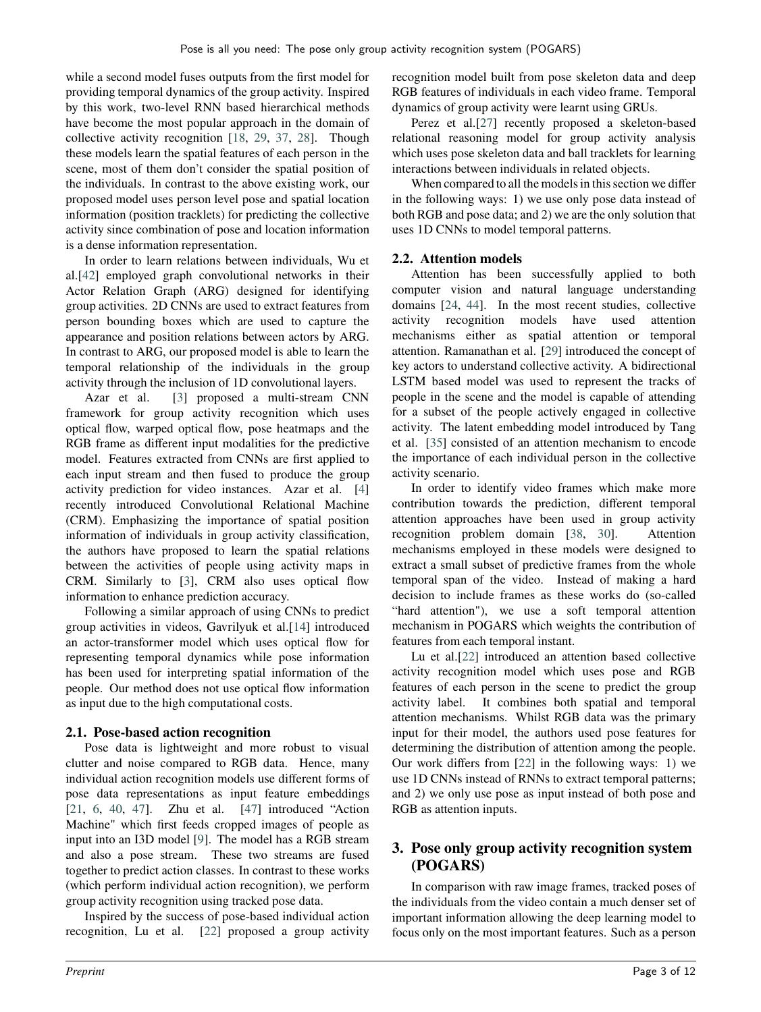while a second model fuses outputs from the first model for providing temporal dynamics of the group activity. Inspired by this work, two-level RNN based hierarchical methods have become the most popular approach in the domain of collective activity recognition [\[18,](#page-10-0) [29,](#page-10-1) [37,](#page-10-12) [28\]](#page-10-13). Though these models learn the spatial features of each person in the scene, most of them don't consider the spatial position of the individuals. In contrast to the above existing work, our proposed model uses person level pose and spatial location information (position tracklets) for predicting the collective activity since combination of pose and location information is a dense information representation.

In order to learn relations between individuals, Wu et al.[\[42\]](#page-10-14) employed graph convolutional networks in their Actor Relation Graph (ARG) designed for identifying group activities. 2D CNNs are used to extract features from person bounding boxes which are used to capture the appearance and position relations between actors by ARG. In contrast to ARG, our proposed model is able to learn the temporal relationship of the individuals in the group activity through the inclusion of 1D convolutional layers.

Azar et al. [\[3](#page-9-1)] proposed a multi-stream CNN framework for group activity recognition which uses optical flow, warped optical flow, pose heatmaps and the RGB frame as different input modalities for the predictive model. Features extracted from CNNs are first applied to each input stream and then fused to produce the group activity prediction for video instances. Azar et al. [\[4](#page-9-2)] recently introduced Convolutional Relational Machine (CRM). Emphasizing the importance of spatial position information of individuals in group activity classification, the authors have proposed to learn the spatial relations between the activities of people using activity maps in CRM. Similarly to [\[3\]](#page-9-1), CRM also uses optical flow information to enhance prediction accuracy.

Following a similar approach of using CNNs to predict group activities in videos, Gavrilyuk et al.[\[14](#page-10-3)] introduced an actor-transformer model which uses optical flow for representing temporal dynamics while pose information has been used for interpreting spatial information of the people. Our method does not use optical flow information as input due to the high computational costs.

## **2.1. Pose-based action recognition**

Pose data is lightweight and more robust to visual clutter and noise compared to RGB data. Hence, many individual action recognition models use different forms of pose data representations as input feature embeddings [\[21,](#page-10-15) [6,](#page-9-3) [40,](#page-10-16) [47\]](#page-11-0). Zhu et al. [\[47](#page-11-0)] introduced "Action Machine" which first feeds cropped images of people as input into an I3D model [\[9\]](#page-10-4). The model has a RGB stream and also a pose stream. These two streams are fused together to predict action classes. In contrast to these works (which perform individual action recognition), we perform group activity recognition using tracked pose data.

Inspired by the success of pose-based individual action recognition, Lu et al. [\[22\]](#page-10-2) proposed a group activity

recognition model built from pose skeleton data and deep RGB features of individuals in each video frame. Temporal dynamics of group activity were learnt using GRUs.

Perez et al.[\[27\]](#page-10-6) recently proposed a skeleton-based relational reasoning model for group activity analysis which uses pose skeleton data and ball tracklets for learning interactions between individuals in related objects.

When compared to all the models in this section we differ in the following ways: 1) we use only pose data instead of both RGB and pose data; and 2) we are the only solution that uses 1D CNNs to model temporal patterns.

## **2.2. Attention models**

Attention has been successfully applied to both computer vision and natural language understanding domains [\[24,](#page-10-17) [44\]](#page-10-18). In the most recent studies, collective activity recognition models have used attention mechanisms either as spatial attention or temporal attention. Ramanathan et al. [\[29](#page-10-1)] introduced the concept of key actors to understand collective activity. A bidirectional LSTM based model was used to represent the tracks of people in the scene and the model is capable of attending for a subset of the people actively engaged in collective activity. The latent embedding model introduced by Tang et al. [\[35](#page-10-19)] consisted of an attention mechanism to encode the importance of each individual person in the collective activity scenario.

In order to identify video frames which make more contribution towards the prediction, different temporal attention approaches have been used in group activity recognition problem domain [\[38,](#page-10-20) [30](#page-10-21)]. Attention mechanisms employed in these models were designed to extract a small subset of predictive frames from the whole temporal span of the video. Instead of making a hard decision to include frames as these works do (so-called "hard attention"), we use a soft temporal attention mechanism in POGARS which weights the contribution of features from each temporal instant.

Lu et al.[\[22](#page-10-2)] introduced an attention based collective activity recognition model which uses pose and RGB features of each person in the scene to predict the group activity label. It combines both spatial and temporal attention mechanisms. Whilst RGB data was the primary input for their model, the authors used pose features for determining the distribution of attention among the people. Our work differs from [\[22\]](#page-10-2) in the following ways: 1) we use 1D CNNs instead of RNNs to extract temporal patterns; and 2) we only use pose as input instead of both pose and RGB as attention inputs.

## **3. Pose only group activity recognition system (POGARS)**

In comparison with raw image frames, tracked poses of the individuals from the video contain a much denser set of important information allowing the deep learning model to focus only on the most important features. Such as a person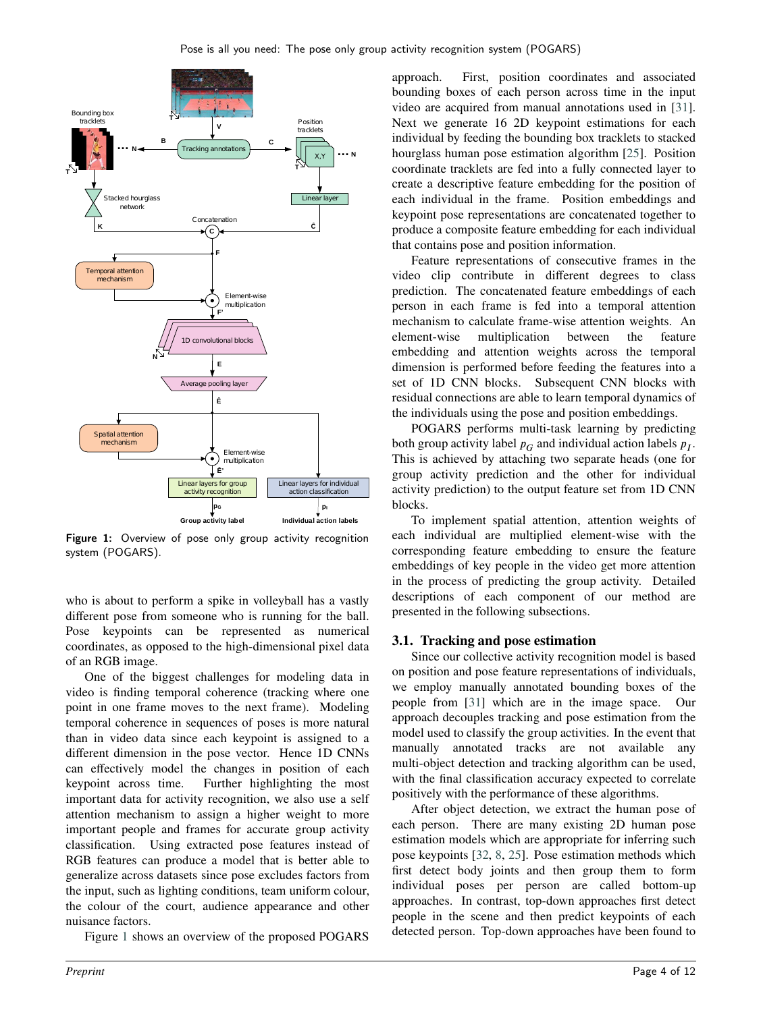<span id="page-3-0"></span>

Figure 1: Overview of pose only group activity recognition system (POGARS).

who is about to perform a spike in volleyball has a vastly different pose from someone who is running for the ball. Pose keypoints can be represented as numerical coordinates, as opposed to the high-dimensional pixel data of an RGB image.

One of the biggest challenges for modeling data in video is finding temporal coherence (tracking where one point in one frame moves to the next frame). Modeling temporal coherence in sequences of poses is more natural than in video data since each keypoint is assigned to a different dimension in the pose vector. Hence 1D CNNs can effectively model the changes in position of each keypoint across time. Further highlighting the most important data for activity recognition, we also use a self attention mechanism to assign a higher weight to more important people and frames for accurate group activity classification. Using extracted pose features instead of RGB features can produce a model that is better able to generalize across datasets since pose excludes factors from the input, such as lighting conditions, team uniform colour, the colour of the court, audience appearance and other nuisance factors.

Figure [1](#page-3-0) shows an overview of the proposed POGARS

approach. First, position coordinates and associated bounding boxes of each person across time in the input video are acquired from manual annotations used in [\[31](#page-10-22)]. Next we generate 16 2D keypoint estimations for each individual by feeding the bounding box tracklets to stacked hourglass human pose estimation algorithm [\[25](#page-10-23)]. Position coordinate tracklets are fed into a fully connected layer to create a descriptive feature embedding for the position of each individual in the frame. Position embeddings and keypoint pose representations are concatenated together to produce a composite feature embedding for each individual that contains pose and position information.

Feature representations of consecutive frames in the video clip contribute in different degrees to class prediction. The concatenated feature embeddings of each person in each frame is fed into a temporal attention mechanism to calculate frame-wise attention weights. An element-wise multiplication between the feature embedding and attention weights across the temporal dimension is performed before feeding the features into a set of 1D CNN blocks. Subsequent CNN blocks with residual connections are able to learn temporal dynamics of the individuals using the pose and position embeddings.

POGARS performs multi-task learning by predicting both group activity label  $p_G$  and individual action labels  $p_I$ . This is achieved by attaching two separate heads (one for group activity prediction and the other for individual activity prediction) to the output feature set from 1D CNN blocks.

To implement spatial attention, attention weights of each individual are multiplied element-wise with the corresponding feature embedding to ensure the feature embeddings of key people in the video get more attention in the process of predicting the group activity. Detailed descriptions of each component of our method are presented in the following subsections.

## **3.1. Tracking and pose estimation**

Since our collective activity recognition model is based on position and pose feature representations of individuals, we employ manually annotated bounding boxes of the people from [\[31\]](#page-10-22) which are in the image space. Our approach decouples tracking and pose estimation from the model used to classify the group activities. In the event that manually annotated tracks are not available any multi-object detection and tracking algorithm can be used, with the final classification accuracy expected to correlate positively with the performance of these algorithms.

After object detection, we extract the human pose of each person. There are many existing 2D human pose estimation models which are appropriate for inferring such pose keypoints [\[32](#page-10-24), [8](#page-9-6), [25\]](#page-10-23). Pose estimation methods which first detect body joints and then group them to form individual poses per person are called bottom-up approaches. In contrast, top-down approaches first detect people in the scene and then predict keypoints of each detected person. Top-down approaches have been found to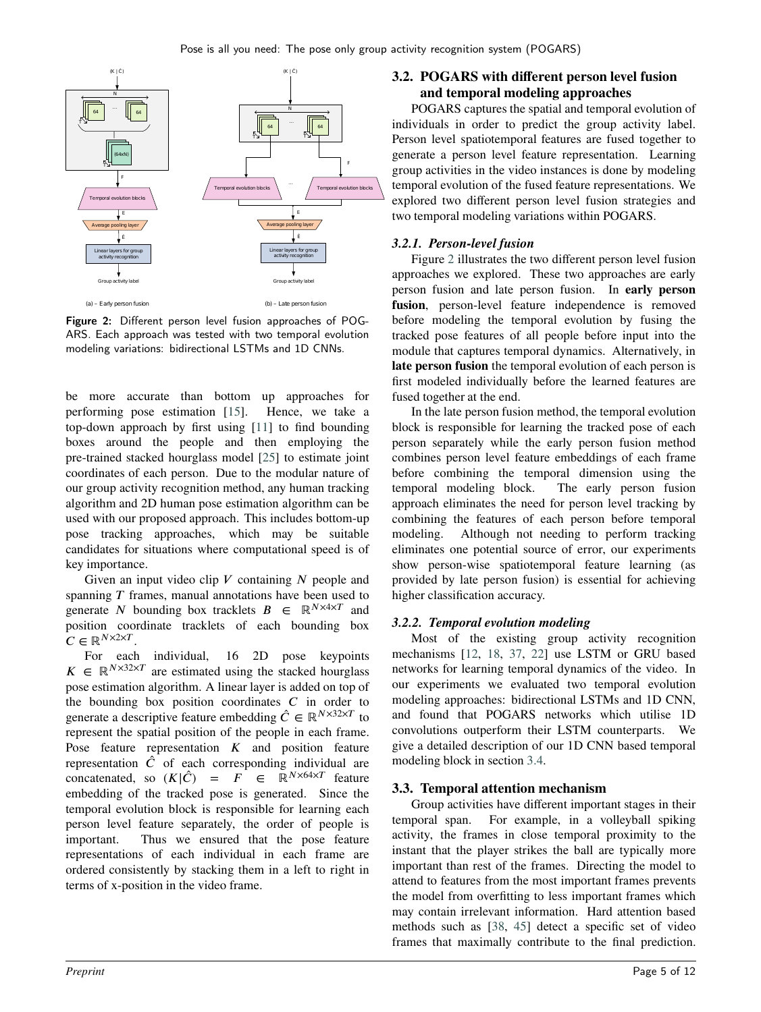<span id="page-4-0"></span>

Figure 2: Different person level fusion approaches of POG-ARS. Each approach was tested with two temporal evolution modeling variations: bidirectional LSTMs and 1D CNNs.

be more accurate than bottom up approaches for performing pose estimation [\[15](#page-10-25)]. Hence, we take a top-down approach by first using [\[11\]](#page-10-26) to find bounding boxes around the people and then employing the pre-trained stacked hourglass model [\[25](#page-10-23)] to estimate joint coordinates of each person. Due to the modular nature of our group activity recognition method, any human tracking algorithm and 2D human pose estimation algorithm can be used with our proposed approach. This includes bottom-up pose tracking approaches, which may be suitable candidates for situations where computational speed is of key importance.

Given an input video clip *V* containing *N* people and spanning *T* frames, manual annotations have been used to generate *N* bounding box tracklets  $B \in \mathbb{R}^{N \times 4 \times T}$  and position coordinate tracklets of each bounding box  $C \in \mathbb{R}^{N \times 2 \times T}$ .

For each individual, 16 2D pose keypoints  $K \in \mathbb{R}^{N \times 32 \times T}$  are estimated using the stacked hourglass pose estimation algorithm. A linear layer is added on top of the bounding box position coordinates  $C$  in order to generate a descriptive feature embedding  $\hat{C} \in \mathbb{R}^{N \times 32 \times T}$  to represent the spatial position of the people in each frame. Pose feature representation  $K$  and position feature representation  $\hat{C}$  of each corresponding individual are concatenated, so  $(K|\hat{C}) = F \in \mathbb{R}^{N \times 64 \times T}$  feature embedding of the tracked pose is generated. Since the temporal evolution block is responsible for learning each person level feature separately, the order of people is important. Thus we ensured that the pose feature representations of each individual in each frame are ordered consistently by stacking them in a left to right in terms of x-position in the video frame.

## **3.2. POGARS with different person level fusion and temporal modeling approaches**

POGARS captures the spatial and temporal evolution of individuals in order to predict the group activity label. Person level spatiotemporal features are fused together to generate a person level feature representation. Learning group activities in the video instances is done by modeling temporal evolution of the fused feature representations. We explored two different person level fusion strategies and two temporal modeling variations within POGARS.

## *3.2.1. Person-level fusion*

Figure [2](#page-4-0) illustrates the two different person level fusion approaches we explored. These two approaches are early person fusion and late person fusion. In **early person fusion**, person-level feature independence is removed before modeling the temporal evolution by fusing the tracked pose features of all people before input into the module that captures temporal dynamics. Alternatively, in **late person fusion** the temporal evolution of each person is first modeled individually before the learned features are fused together at the end.

In the late person fusion method, the temporal evolution block is responsible for learning the tracked pose of each person separately while the early person fusion method combines person level feature embeddings of each frame before combining the temporal dimension using the temporal modeling block. The early person fusion approach eliminates the need for person level tracking by combining the features of each person before temporal modeling. Although not needing to perform tracking eliminates one potential source of error, our experiments show person-wise spatiotemporal feature learning (as provided by late person fusion) is essential for achieving higher classification accuracy.

## *3.2.2. Temporal evolution modeling*

Most of the existing group activity recognition mechanisms [\[12,](#page-10-11) [18,](#page-10-0) [37](#page-10-12), [22\]](#page-10-2) use LSTM or GRU based networks for learning temporal dynamics of the video. In our experiments we evaluated two temporal evolution modeling approaches: bidirectional LSTMs and 1D CNN, and found that POGARS networks which utilise 1D convolutions outperform their LSTM counterparts. We give a detailed description of our 1D CNN based temporal modeling block in section [3.4.](#page-5-0)

## <span id="page-4-1"></span>**3.3. Temporal attention mechanism**

Group activities have different important stages in their temporal span. For example, in a volleyball spiking activity, the frames in close temporal proximity to the instant that the player strikes the ball are typically more important than rest of the frames. Directing the model to attend to features from the most important frames prevents the model from overfitting to less important frames which may contain irrelevant information. Hard attention based methods such as [\[38,](#page-10-20) [45\]](#page-10-27) detect a specific set of video frames that maximally contribute to the final prediction.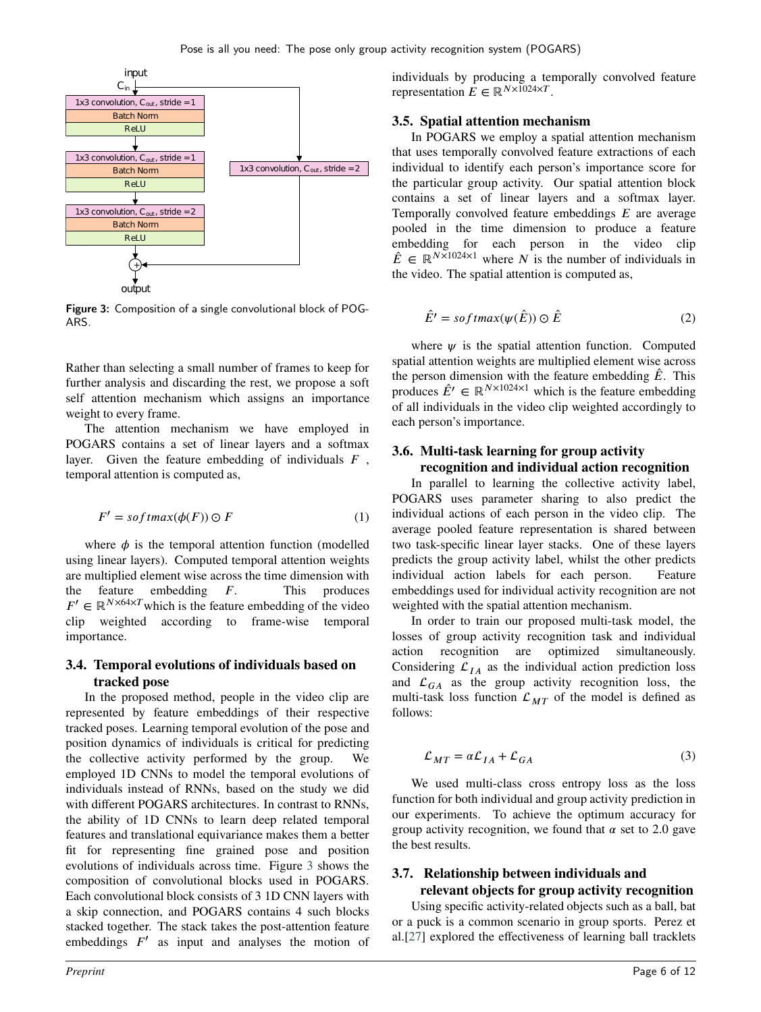<span id="page-5-1"></span>

Figure 3: Composition of a single convolutional block of POG-ARS.

Rather than selecting a small number of frames to keep for further analysis and discarding the rest, we propose a soft self attention mechanism which assigns an importance weight to every frame.

The attention mechanism we have employed in POGARS contains a set of linear layers and a softmax layer. Given the feature embedding of individuals F, temporal attention is computed as,

$$
F' = softmax(\phi(F)) \odot F \tag{1}
$$

where  $\phi$  is the temporal attention function (modelled using linear layers). Computed temporal attention weights are multiplied element wise across the time dimension with the feature embedding *F*. This produces  $F' \in \mathbb{R}^{N \times 64 \times T}$  which is the feature embedding of the video clip weighted according to frame-wise temporal importance.

#### <span id="page-5-0"></span>**3.4. Temporal evolutions of individuals based on tracked pose**

In the proposed method, people in the video clip are represented by feature embeddings of their respective tracked poses. Learning temporal evolution of the pose and position dynamics of individuals is critical for predicting the collective activity performed by the group. We employed 1D CNNs to model the temporal evolutions of individuals instead of RNNs, based on the study we did with different POGARS architectures. In contrast to RNNs, the ability of 1D CNNs to learn deep related temporal features and translational equivariance makes them a better fit for representing fine grained pose and position evolutions of individuals across time. Figure [3](#page-5-1) shows the composition of convolutional blocks used in POGARS. Each convolutional block consists of 3 1D CNN layers with a skip connection, and POGARS contains 4 such blocks stacked together. The stack takes the post-attention feature embeddings  $F'$  as input and analyses the motion of

individuals by producing a temporally convolved feature representation  $\vec{E} \in \mathbb{R}^{N \times 1024 \times T}$ .

#### <span id="page-5-3"></span>**3.5. Spatial attention mechanism**

In POGARS we employ a spatial attention mechanism that uses temporally convolved feature extractions of each individual to identify each person's importance score for the particular group activity. Our spatial attention block contains a set of linear layers and a softmax layer. Temporally convolved feature embeddings *E* are average pooled in the time dimension to produce a feature embedding for each person in the video clip  $\hat{E} \in \mathbb{R}^{N \times 1024 \times 1}$  where *N* is the number of individuals in the video. The spatial attention is computed as,

$$
\hat{E}' = softmax(\psi(\hat{E})) \odot \hat{E}
$$
 (2)

where  $\psi$  is the spatial attention function. Computed spatial attention weights are multiplied element wise across the person dimension with the feature embedding  $\hat{E}$ . This produces  $\hat{E}' \in \mathbb{R}^{N \times 1024 \times 1}$  which is the feature embedding of all individuals in the video clip weighted accordingly to each person's importance.

#### **3.6. Multi-task learning for group activity recognition and individual action recognition**

In parallel to learning the collective activity label, POGARS uses parameter sharing to also predict the individual actions of each person in the video clip. The average pooled feature representation is shared between two task-specific linear layer stacks. One of these layers predicts the group activity label, whilst the other predicts individual action labels for each person. Feature embeddings used for individual activity recognition are not weighted with the spatial attention mechanism.

In order to train our proposed multi-task model, the losses of group activity recognition task and individual action recognition are optimized simultaneously. Considering  $\mathcal{L}_{IA}$  as the individual action prediction loss and  $\mathcal{L}_{GA}$  as the group activity recognition loss, the multi-task loss function  $\mathcal{L}_{MT}$  of the model is defined as follows:

<span id="page-5-2"></span>
$$
\mathcal{L}_{MT} = \alpha \mathcal{L}_{IA} + \mathcal{L}_{GA} \tag{3}
$$

We used multi-class cross entropy loss as the loss function for both individual and group activity prediction in our experiments. To achieve the optimum accuracy for group activity recognition, we found that  $\alpha$  set to 2.0 gave the best results.

# **3.7. Relationship between individuals and**

**relevant objects for group activity recognition** Using specific activity-related objects such as a ball, bat or a puck is a common scenario in group sports. Perez et al.[\[27\]](#page-10-6) explored the effectiveness of learning ball tracklets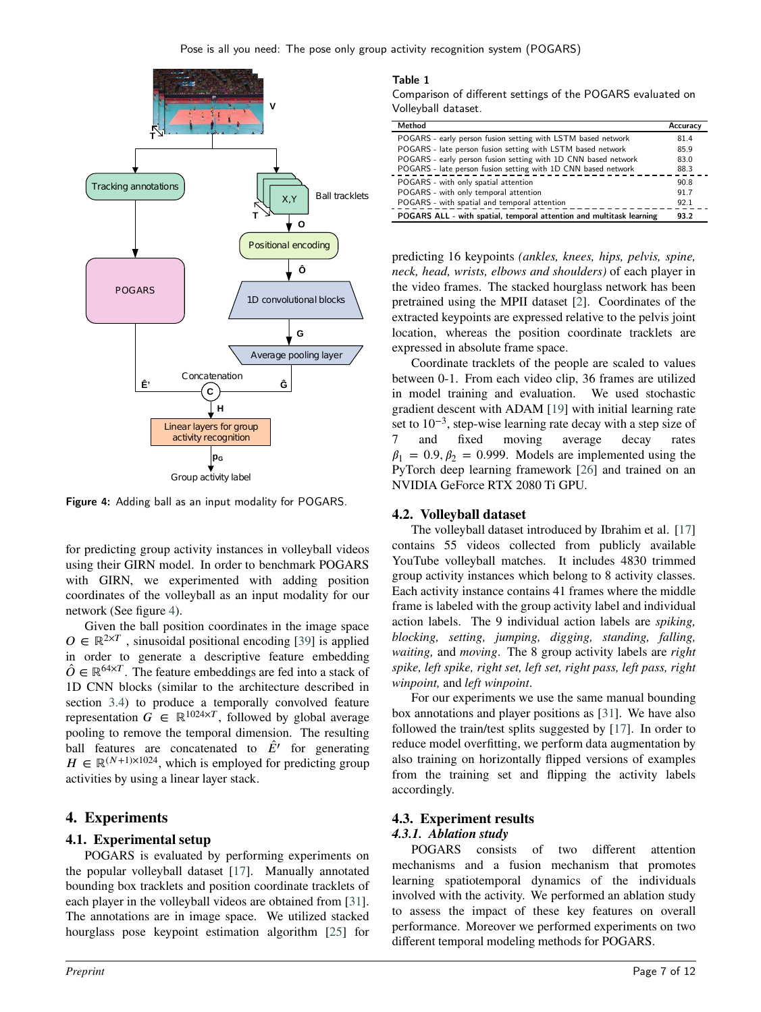<span id="page-6-0"></span>

Figure 4: Adding ball as an input modality for POGARS.

for predicting group activity instances in volleyball videos using their GIRN model. In order to benchmark POGARS with GIRN, we experimented with adding position coordinates of the volleyball as an input modality for our network (See figure [4\)](#page-6-0).

Given the ball position coordinates in the image space  $O \in \mathbb{R}^{2 \times T}$ , sinusoidal positional encoding [\[39](#page-10-28)] is applied in order to generate a descriptive feature embedding  $\hat{O} \in \mathbb{R}^{64 \times T}$ . The feature embeddings are fed into a stack of 1D CNN blocks (similar to the architecture described in section [3.4\)](#page-5-0) to produce a temporally convolved feature representation  $G \in \mathbb{R}^{1024 \times T}$ , followed by global average pooling to remove the temporal dimension. The resulting ball features are concatenated to  $\hat{E}'$  for generating  $H \in \mathbb{R}^{(N+1)\times 1024}$ , which is employed for predicting group activities by using a linear layer stack.

## **4. Experiments**

## **4.1. Experimental setup**

POGARS is evaluated by performing experiments on the popular volleyball dataset [\[17](#page-10-7)]. Manually annotated bounding box tracklets and position coordinate tracklets of each player in the volleyball videos are obtained from [\[31\]](#page-10-22). The annotations are in image space. We utilized stacked hourglass pose keypoint estimation algorithm [\[25\]](#page-10-23) for

#### <span id="page-6-1"></span>Table 1

Comparison of different settings of the POGARS evaluated on Volleyball dataset.

| Method                                                               | Accuracy |
|----------------------------------------------------------------------|----------|
| POGARS - early person fusion setting with LSTM based network         | 81.4     |
| POGARS - late person fusion setting with LSTM based network          | 85.9     |
| POGARS - early person fusion setting with 1D CNN based network       | 83.0     |
| POGARS - late person fusion setting with 1D CNN based network        | 88.3     |
| POGARS - with only spatial attention                                 | 90.8     |
| POGARS - with only temporal attention                                | 91.7     |
| POGARS - with spatial and temporal attention                         | 92.1     |
| POGARS ALL - with spatial, temporal attention and multitask learning | 93.2     |

predicting 16 keypoints *(ankles, knees, hips, pelvis, spine, neck, head, wrists, elbows and shoulders)* of each player in the video frames. The stacked hourglass network has been pretrained using the MPII dataset [\[2\]](#page-9-7). Coordinates of the extracted keypoints are expressed relative to the pelvis joint location, whereas the position coordinate tracklets are expressed in absolute frame space.

Coordinate tracklets of the people are scaled to values between 0-1. From each video clip, 36 frames are utilized in model training and evaluation. We used stochastic gradient descent with ADAM [\[19](#page-10-29)] with initial learning rate set to 10<sup>-3</sup>, step-wise learning rate decay with a step size of 7 and fixed moving average decay rates  $\beta_1 = 0.9, \beta_2 = 0.999$ . Models are implemented using the PyTorch deep learning framework [\[26\]](#page-10-30) and trained on an NVIDIA GeForce RTX 2080 Ti GPU.

## **4.2. Volleyball dataset**

The volleyball dataset introduced by Ibrahim et al. [\[17\]](#page-10-7) contains 55 videos collected from publicly available YouTube volleyball matches. It includes 4830 trimmed group activity instances which belong to 8 activity classes. Each activity instance contains 41 frames where the middle frame is labeled with the group activity label and individual action labels. The 9 individual action labels are *spiking, blocking, setting, jumping, digging, standing, falling, waiting,* and *moving*. The 8 group activity labels are *right spike, left spike, right set, left set, right pass, left pass, right winpoint,* and *left winpoint*.

For our experiments we use the same manual bounding box annotations and player positions as [\[31\]](#page-10-22). We have also followed the train/test splits suggested by [\[17\]](#page-10-7). In order to reduce model overfitting, we perform data augmentation by also training on horizontally flipped versions of examples from the training set and flipping the activity labels accordingly.

#### **4.3. Experiment results** *4.3.1. Ablation study*

POGARS consists of two different attention mechanisms and a fusion mechanism that promotes learning spatiotemporal dynamics of the individuals involved with the activity. We performed an ablation study to assess the impact of these key features on overall performance. Moreover we performed experiments on two different temporal modeling methods for POGARS.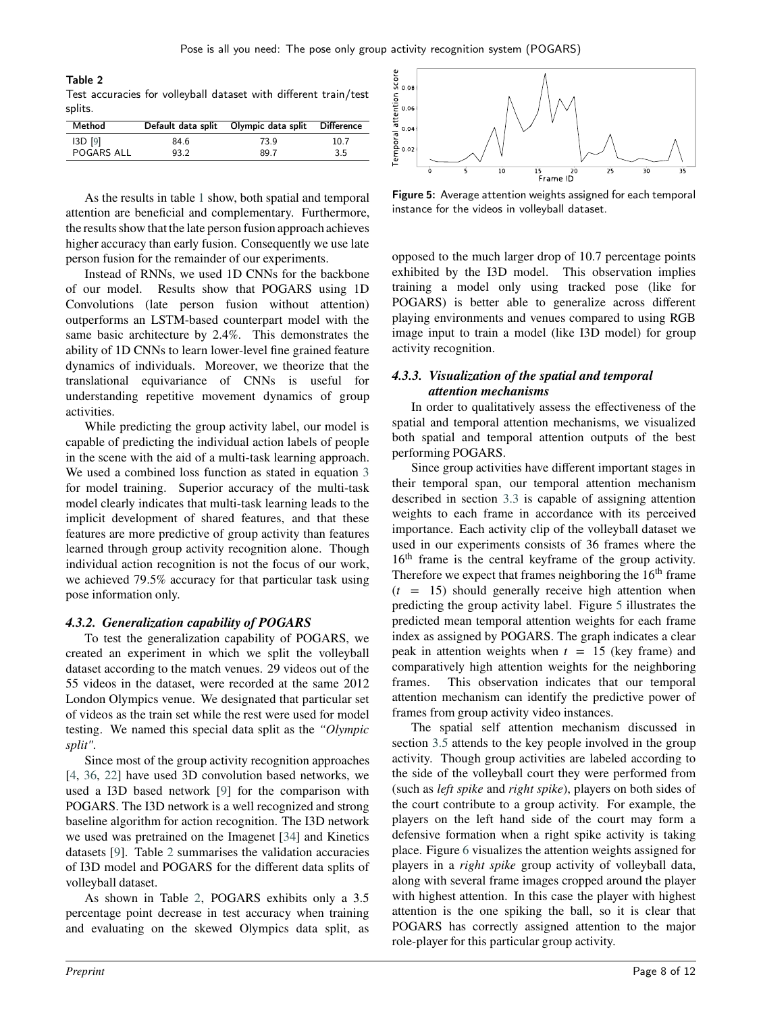<span id="page-7-0"></span>Table 2 Test accuracies for volleyball dataset with different train/test splits.

| Method            | Default data split | Olympic data split | <b>Difference</b> |
|-------------------|--------------------|--------------------|-------------------|
| $13D$ [9]         | 84.6               | 73.9               | 10.7              |
| <b>POGARS ALL</b> | 93.2               | 89.7               | 3.5               |

As the results in table [1](#page-6-1) show, both spatial and temporal attention are beneficial and complementary. Furthermore, the results show that the late person fusion approach achieves higher accuracy than early fusion. Consequently we use late person fusion for the remainder of our experiments.

Instead of RNNs, we used 1D CNNs for the backbone of our model. Results show that POGARS using 1D Convolutions (late person fusion without attention) outperforms an LSTM-based counterpart model with the same basic architecture by 2.4%. This demonstrates the ability of 1D CNNs to learn lower-level fine grained feature dynamics of individuals. Moreover, we theorize that the translational equivariance of CNNs is useful for understanding repetitive movement dynamics of group activities.

While predicting the group activity label, our model is capable of predicting the individual action labels of people in the scene with the aid of a multi-task learning approach. We used a combined loss function as stated in equation [3](#page-5-2) for model training. Superior accuracy of the multi-task model clearly indicates that multi-task learning leads to the implicit development of shared features, and that these features are more predictive of group activity than features learned through group activity recognition alone. Though individual action recognition is not the focus of our work, we achieved 79.5% accuracy for that particular task using pose information only.

#### *4.3.2. Generalization capability of POGARS*

To test the generalization capability of POGARS, we created an experiment in which we split the volleyball dataset according to the match venues. 29 videos out of the 55 videos in the dataset, were recorded at the same 2012 London Olympics venue. We designated that particular set of videos as the train set while the rest were used for model testing. We named this special data split as the *"Olympic split"*.

Since most of the group activity recognition approaches [\[4,](#page-9-2) [36,](#page-10-31) [22\]](#page-10-2) have used 3D convolution based networks, we used a I3D based network [\[9\]](#page-10-4) for the comparison with POGARS. The I3D network is a well recognized and strong baseline algorithm for action recognition. The I3D network we used was pretrained on the Imagenet [\[34\]](#page-10-32) and Kinetics datasets [\[9](#page-10-4)]. Table [2](#page-7-0) summarises the validation accuracies of I3D model and POGARS for the different data splits of volleyball dataset.

As shown in Table [2,](#page-7-0) POGARS exhibits only a 3.5 percentage point decrease in test accuracy when training and evaluating on the skewed Olympics data split, as

<span id="page-7-1"></span>

Figure 5: Average attention weights assigned for each temporal instance for the videos in volleyball dataset.

opposed to the much larger drop of 10.7 percentage points exhibited by the I3D model. This observation implies training a model only using tracked pose (like for POGARS) is better able to generalize across different playing environments and venues compared to using RGB image input to train a model (like I3D model) for group activity recognition.

### *4.3.3. Visualization of the spatial and temporal attention mechanisms*

In order to qualitatively assess the effectiveness of the spatial and temporal attention mechanisms, we visualized both spatial and temporal attention outputs of the best performing POGARS.

Since group activities have different important stages in their temporal span, our temporal attention mechanism described in section [3.3](#page-4-1) is capable of assigning attention weights to each frame in accordance with its perceived importance. Each activity clip of the volleyball dataset we used in our experiments consists of 36 frames where the 16<sup>th</sup> frame is the central keyframe of the group activity. Therefore we expect that frames neighboring the  $16<sup>th</sup>$  frame  $(t = 15)$  should generally receive high attention when predicting the group activity label. Figure [5](#page-7-1) illustrates the predicted mean temporal attention weights for each frame index as assigned by POGARS. The graph indicates a clear peak in attention weights when  $t = 15$  (key frame) and comparatively high attention weights for the neighboring frames. This observation indicates that our temporal attention mechanism can identify the predictive power of frames from group activity video instances.

The spatial self attention mechanism discussed in section [3.5](#page-5-3) attends to the key people involved in the group activity. Though group activities are labeled according to the side of the volleyball court they were performed from (such as *left spike* and *right spike*), players on both sides of the court contribute to a group activity. For example, the players on the left hand side of the court may form a defensive formation when a right spike activity is taking place. Figure [6](#page-8-0) visualizes the attention weights assigned for players in a *right spike* group activity of volleyball data, along with several frame images cropped around the player with highest attention. In this case the player with highest attention is the one spiking the ball, so it is clear that POGARS has correctly assigned attention to the major role-player for this particular group activity.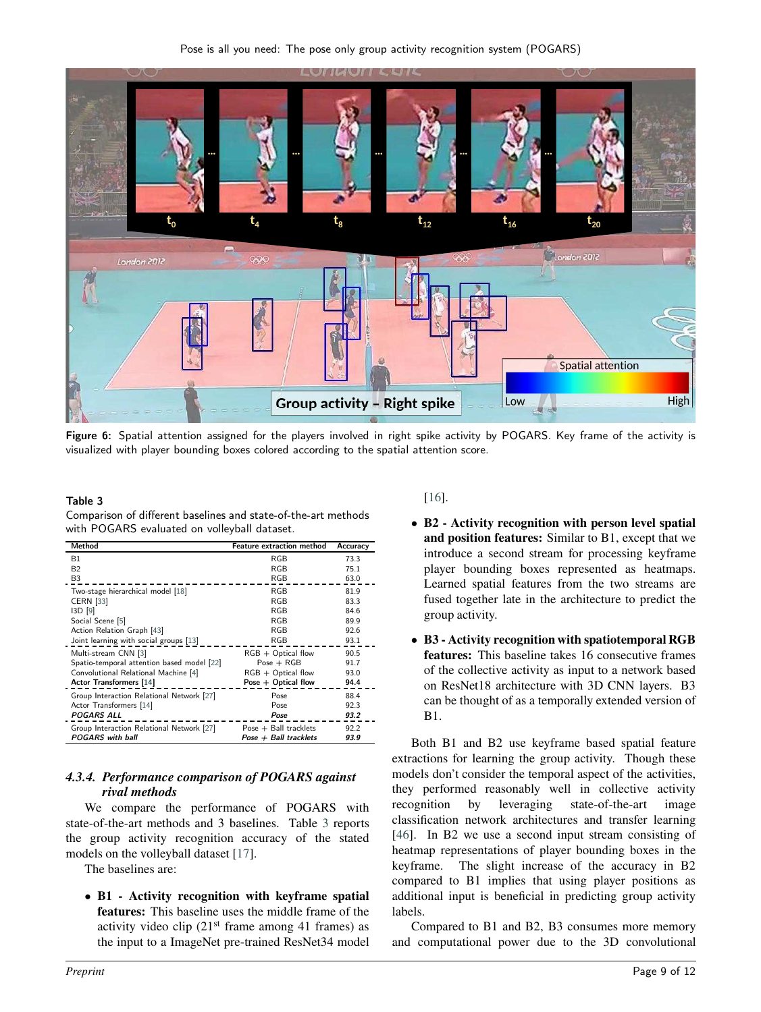<span id="page-8-0"></span>

Figure 6: Spatial attention assigned for the players involved in right spike activity by POGARS. Key frame of the activity is visualized with player bounding boxes colored according to the spatial attention score.

#### <span id="page-8-1"></span>Table 3

Comparison of different baselines and state-of-the-art methods with POGARS evaluated on volleyball dataset.

| Method                                     | <b>Feature extraction method</b> | Accuracy |
|--------------------------------------------|----------------------------------|----------|
| B1                                         | <b>RGB</b>                       | 73.3     |
| B <sub>2</sub>                             | RGB                              | 75.1     |
| B3                                         | RGB                              | 63.0     |
| Two-stage hierarchical model [18]          | RGB                              | 81.9     |
| <b>CERN</b> [33]                           | RGB                              | 83.3     |
| I3D [9]                                    | <b>RGB</b>                       | 84.6     |
| Social Scene [5]                           | RGB                              | 89.9     |
| Action Relation Graph [43]                 | RGB                              | 92.6     |
| Joint learning with social groups [13]     | RGB                              | 93.1     |
| Multi-stream CNN [3]                       | $RGB + Optical$ flow             | 90.5     |
| Spatio-temporal attention based model [22] | $Pose + RGB$                     | 91.7     |
| Convolutional Relational Machine [4]       | $RGB + Optical$ flow             | 93.0     |
| Actor Transformers [14]                    | Pose $+$ Optical flow            | 94.4     |
| Group Interaction Relational Network [27]  | Pose                             | 88.4     |
| Actor Transformers [14]                    | Pose                             | 92.3     |
| <b>POGARS ALL</b>                          | Pose                             | 93.2     |
| Group Interaction Relational Network [27]  | Pose $+$ Ball tracklets          | 92.2     |
| <b>POGARS</b> with ball                    | $Pose + Ball$ tracklets          | 93.9     |

## *4.3.4. Performance comparison of POGARS against rival methods*

We compare the performance of POGARS with state-of-the-art methods and 3 baselines. Table [3](#page-8-1) reports the group activity recognition accuracy of the stated models on the volleyball dataset [\[17](#page-10-7)].

The baselines are:

• **B1 - Activity recognition with keyframe spatial features:** This baseline uses the middle frame of the activity video clip  $(21<sup>st</sup>$  frame among 41 frames) as the input to a ImageNet pre-trained ResNet34 model

#### [\[16\]](#page-10-36).

- **B2 Activity recognition with person level spatial and position features:** Similar to B1, except that we introduce a second stream for processing keyframe player bounding boxes represented as heatmaps. Learned spatial features from the two streams are fused together late in the architecture to predict the group activity.
- **B3 Activity recognition with spatiotemporal RGB features:** This baseline takes 16 consecutive frames of the collective activity as input to a network based on ResNet18 architecture with 3D CNN layers. B3 can be thought of as a temporally extended version of B1.

Both B1 and B2 use keyframe based spatial feature extractions for learning the group activity. Though these models don't consider the temporal aspect of the activities, they performed reasonably well in collective activity recognition by leveraging state-of-the-art image classification network architectures and transfer learning [\[46\]](#page-11-2). In B2 we use a second input stream consisting of heatmap representations of player bounding boxes in the keyframe. The slight increase of the accuracy in B2 compared to B1 implies that using player positions as additional input is beneficial in predicting group activity labels.

Compared to B1 and B2, B3 consumes more memory and computational power due to the 3D convolutional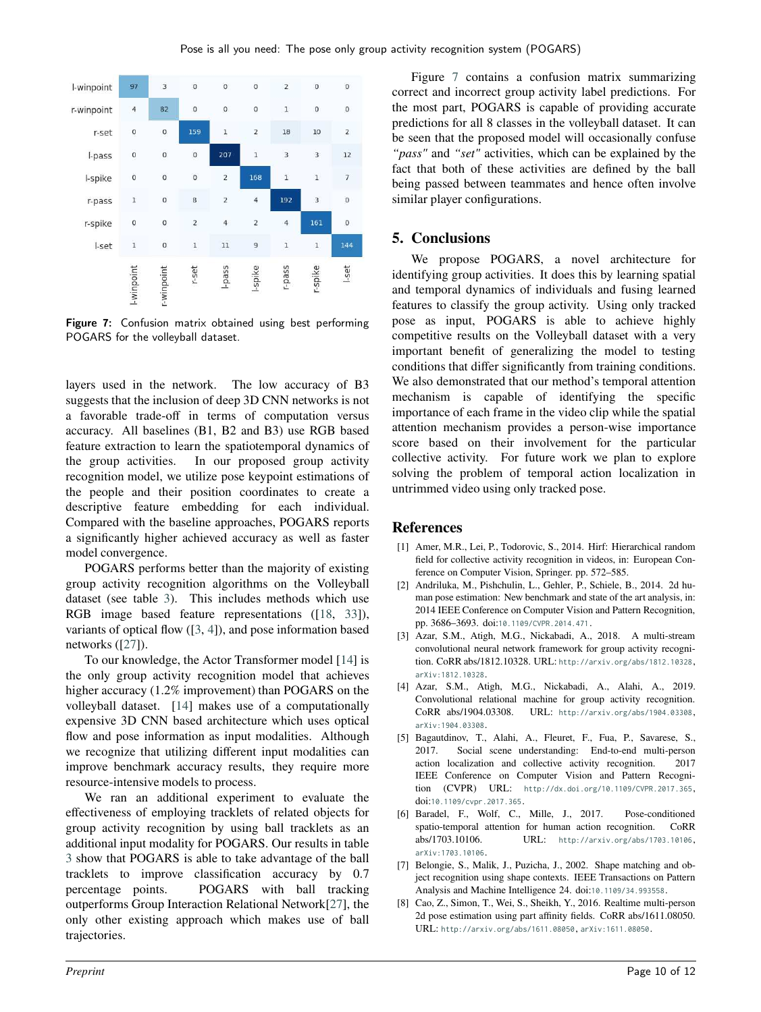<span id="page-9-8"></span>

Figure 7: Confusion matrix obtained using best performing POGARS for the volleyball dataset.

layers used in the network. The low accuracy of B3 suggests that the inclusion of deep 3D CNN networks is not a favorable trade-off in terms of computation versus accuracy. All baselines (B1, B2 and B3) use RGB based feature extraction to learn the spatiotemporal dynamics of the group activities. In our proposed group activity recognition model, we utilize pose keypoint estimations of the people and their position coordinates to create a descriptive feature embedding for each individual. Compared with the baseline approaches, POGARS reports a significantly higher achieved accuracy as well as faster model convergence.

POGARS performs better than the majority of existing group activity recognition algorithms on the Volleyball dataset (see table [3\)](#page-8-1). This includes methods which use RGB image based feature representations ([\[18,](#page-10-0) [33\]](#page-10-33)), variants of optical flow ([\[3](#page-9-1), [4](#page-9-2)]), and pose information based networks ([\[27\]](#page-10-6)).

To our knowledge, the Actor Transformer model [\[14](#page-10-3)] is the only group activity recognition model that achieves higher accuracy (1.2% improvement) than POGARS on the volleyball dataset. [\[14\]](#page-10-3) makes use of a computationally expensive 3D CNN based architecture which uses optical flow and pose information as input modalities. Although we recognize that utilizing different input modalities can improve benchmark accuracy results, they require more resource-intensive models to process.

We ran an additional experiment to evaluate the effectiveness of employing tracklets of related objects for group activity recognition by using ball tracklets as an additional input modality for POGARS. Our results in table [3](#page-8-1) show that POGARS is able to take advantage of the ball tracklets to improve classification accuracy by 0.7 percentage points. POGARS with ball tracking outperforms Group Interaction Relational Network[\[27\]](#page-10-6), the only other existing approach which makes use of ball trajectories.

Figure [7](#page-9-8) contains a confusion matrix summarizing correct and incorrect group activity label predictions. For the most part, POGARS is capable of providing accurate predictions for all 8 classes in the volleyball dataset. It can be seen that the proposed model will occasionally confuse *"pass"* and *"set"* activities, which can be explained by the fact that both of these activities are defined by the ball being passed between teammates and hence often involve similar player configurations.

## **5. Conclusions**

We propose POGARS, a novel architecture for identifying group activities. It does this by learning spatial and temporal dynamics of individuals and fusing learned features to classify the group activity. Using only tracked pose as input, POGARS is able to achieve highly competitive results on the Volleyball dataset with a very important benefit of generalizing the model to testing conditions that differ significantly from training conditions. We also demonstrated that our method's temporal attention mechanism is capable of identifying the specific importance of each frame in the video clip while the spatial attention mechanism provides a person-wise importance score based on their involvement for the particular collective activity. For future work we plan to explore solving the problem of temporal action localization in untrimmed video using only tracked pose.

## **References**

- <span id="page-9-4"></span>[1] Amer, M.R., Lei, P., Todorovic, S., 2014. Hirf: Hierarchical random field for collective activity recognition in videos, in: European Conference on Computer Vision, Springer. pp. 572–585.
- <span id="page-9-7"></span>[2] Andriluka, M., Pishchulin, L., Gehler, P., Schiele, B., 2014. 2d human pose estimation: New benchmark and state of the art analysis, in: 2014 IEEE Conference on Computer Vision and Pattern Recognition, pp. 3686–3693. doi:[10.1109/CVPR.2014.471](http://dx.doi.org/10.1109/CVPR.2014.471).
- <span id="page-9-1"></span>[3] Azar, S.M., Atigh, M.G., Nickabadi, A., 2018. A multi-stream convolutional neural network framework for group activity recognition. CoRR abs/1812.10328. URL: <http://arxiv.org/abs/1812.10328>, [arXiv:1812.10328](http://arxiv.org/abs/1812.10328).
- <span id="page-9-2"></span>[4] Azar, S.M., Atigh, M.G., Nickabadi, A., Alahi, A., 2019. Convolutional relational machine for group activity recognition. CoRR abs/1904.03308. URL: <http://arxiv.org/abs/1904.03308>, [arXiv:1904.03308](http://arxiv.org/abs/1904.03308).
- <span id="page-9-0"></span>[5] Bagautdinov, T., Alahi, A., Fleuret, F., Fua, P., Savarese, S., 2017. Social scene understanding: End-to-end multi-person action localization and collective activity recognition. 2017 IEEE Conference on Computer Vision and Pattern Recognition (CVPR) URL: <http://dx.doi.org/10.1109/CVPR.2017.365>, doi:[10.1109/cvpr.2017.365](http://dx.doi.org/10.1109/cvpr.2017.365).
- <span id="page-9-3"></span>[6] Baradel, F., Wolf, C., Mille, J., 2017. Pose-conditioned spatio-temporal attention for human action recognition. CoRR abs/1703.10106. URL: <http://arxiv.org/abs/1703.10106>, [arXiv:1703.10106](http://arxiv.org/abs/1703.10106).
- <span id="page-9-5"></span>[7] Belongie, S., Malik, J., Puzicha, J., 2002. Shape matching and object recognition using shape contexts. IEEE Transactions on Pattern Analysis and Machine Intelligence 24. doi:[10.1109/34.993558](http://dx.doi.org/10.1109/34.993558).
- <span id="page-9-6"></span>[8] Cao, Z., Simon, T., Wei, S., Sheikh, Y., 2016. Realtime multi-person 2d pose estimation using part affinity fields. CoRR abs/1611.08050. URL: <http://arxiv.org/abs/1611.08050>, [arXiv:1611.08050](http://arxiv.org/abs/1611.08050).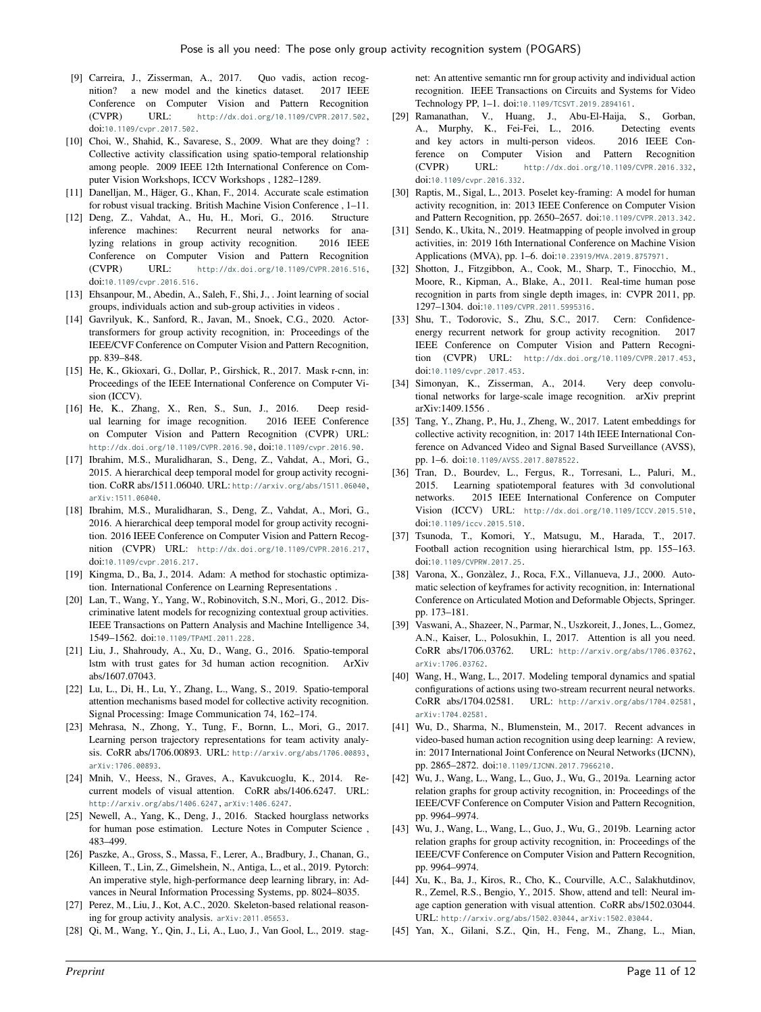- <span id="page-10-4"></span>[9] Carreira, J., Zisserman, A., 2017. Quo vadis, action recognition? a new model and the kinetics dataset. 2017 IEEE Conference on Computer Vision and Pattern Recognition (CVPR) URL: <http://dx.doi.org/10.1109/CVPR.2017.502>, doi:[10.1109/cvpr.2017.502](http://dx.doi.org/10.1109/cvpr.2017.502).
- <span id="page-10-9"></span>[10] Choi, W., Shahid, K., Savarese, S., 2009. What are they doing? : Collective activity classification using spatio-temporal relationship among people. 2009 IEEE 12th International Conference on Computer Vision Workshops, ICCV Workshops , 1282–1289.
- <span id="page-10-26"></span>[11] Danelljan, M., Häger, G., Khan, F., 2014. Accurate scale estimation for robust visual tracking. British Machine Vision Conference , 1–11.
- <span id="page-10-11"></span>[12] Deng, Z., Vahdat, A., Hu, H., Mori, G., 2016. Structure inference machines: Recurrent neural networks for analyzing relations in group activity recognition. 2016 IEEE Conference on Computer Vision and Pattern Recognition (CVPR) URL: <http://dx.doi.org/10.1109/CVPR.2016.516>, doi:[10.1109/cvpr.2016.516](http://dx.doi.org/10.1109/cvpr.2016.516).
- <span id="page-10-35"></span>[13] Ehsanpour, M., Abedin, A., Saleh, F., Shi, J., . Joint learning of social groups, individuals action and sub-group activities in videos .
- <span id="page-10-3"></span>[14] Gavrilyuk, K., Sanford, R., Javan, M., Snoek, C.G., 2020. Actortransformers for group activity recognition, in: Proceedings of the IEEE/CVF Conference on Computer Vision and Pattern Recognition, pp. 839–848.
- <span id="page-10-25"></span>[15] He, K., Gkioxari, G., Dollar, P., Girshick, R., 2017. Mask r-cnn, in: Proceedings of the IEEE International Conference on Computer Vision (ICCV).
- <span id="page-10-36"></span>[16] He, K., Zhang, X., Ren, S., Sun, J., 2016. Deep residual learning for image recognition. 2016 IEEE Conference on Computer Vision and Pattern Recognition (CVPR) URL: <http://dx.doi.org/10.1109/CVPR.2016.90>, doi:[10.1109/cvpr.2016.90](http://dx.doi.org/10.1109/cvpr.2016.90).
- <span id="page-10-7"></span>[17] Ibrahim, M.S., Muralidharan, S., Deng, Z., Vahdat, A., Mori, G., 2015. A hierarchical deep temporal model for group activity recognition. CoRR abs/1511.06040. URL: <http://arxiv.org/abs/1511.06040>, [arXiv:1511.06040](http://arxiv.org/abs/1511.06040).
- <span id="page-10-0"></span>[18] Ibrahim, M.S., Muralidharan, S., Deng, Z., Vahdat, A., Mori, G., 2016. A hierarchical deep temporal model for group activity recognition. 2016 IEEE Conference on Computer Vision and Pattern Recognition (CVPR) URL: <http://dx.doi.org/10.1109/CVPR.2016.217>, doi:[10.1109/cvpr.2016.217](http://dx.doi.org/10.1109/cvpr.2016.217).
- <span id="page-10-29"></span>[19] Kingma, D., Ba, J., 2014. Adam: A method for stochastic optimization. International Conference on Learning Representations .
- <span id="page-10-8"></span>[20] Lan, T., Wang, Y., Yang, W., Robinovitch, S.N., Mori, G., 2012. Discriminative latent models for recognizing contextual group activities. IEEE Transactions on Pattern Analysis and Machine Intelligence 34, 1549–1562. doi:[10.1109/TPAMI.2011.228](http://dx.doi.org/10.1109/TPAMI.2011.228).
- <span id="page-10-15"></span>[21] Liu, J., Shahroudy, A., Xu, D., Wang, G., 2016. Spatio-temporal lstm with trust gates for 3d human action recognition. ArXiv abs/1607.07043.
- <span id="page-10-2"></span>[22] Lu, L., Di, H., Lu, Y., Zhang, L., Wang, S., 2019. Spatio-temporal attention mechanisms based model for collective activity recognition. Signal Processing: Image Communication 74, 162–174.
- <span id="page-10-5"></span>[23] Mehrasa, N., Zhong, Y., Tung, F., Bornn, L., Mori, G., 2017. Learning person trajectory representations for team activity analysis. CoRR abs/1706.00893. URL: <http://arxiv.org/abs/1706.00893>, [arXiv:1706.00893](http://arxiv.org/abs/1706.00893).
- <span id="page-10-17"></span>[24] Mnih, V., Heess, N., Graves, A., Kavukcuoglu, K., 2014. Recurrent models of visual attention. CoRR abs/1406.6247. URL: <http://arxiv.org/abs/1406.6247>, [arXiv:1406.6247](http://arxiv.org/abs/1406.6247).
- <span id="page-10-23"></span>[25] Newell, A., Yang, K., Deng, J., 2016. Stacked hourglass networks for human pose estimation. Lecture Notes in Computer Science , 483–499.
- <span id="page-10-30"></span>[26] Paszke, A., Gross, S., Massa, F., Lerer, A., Bradbury, J., Chanan, G., Killeen, T., Lin, Z., Gimelshein, N., Antiga, L., et al., 2019. Pytorch: An imperative style, high-performance deep learning library, in: Advances in Neural Information Processing Systems, pp. 8024–8035.
- <span id="page-10-6"></span>[27] Perez, M., Liu, J., Kot, A.C., 2020. Skeleton-based relational reasoning for group activity analysis. [arXiv:2011.05653](http://arxiv.org/abs/2011.05653).
- <span id="page-10-13"></span>[28] Qi, M., Wang, Y., Qin, J., Li, A., Luo, J., Van Gool, L., 2019. stag-

net: An attentive semantic rnn for group activity and individual action recognition. IEEE Transactions on Circuits and Systems for Video Technology PP, 1–1. doi:[10.1109/TCSVT.2019.2894161](http://dx.doi.org/10.1109/TCSVT.2019.2894161).

- <span id="page-10-1"></span>[29] Ramanathan, V., Huang, J., Abu-El-Haija, S., Gorban, A., Murphy, K., Fei-Fei, L., 2016. Detecting events and key actors in multi-person videos. 2016 IEEE Conference on Computer Vision and Pattern Recognition (CVPR) URL: <http://dx.doi.org/10.1109/CVPR.2016.332>, doi:[10.1109/cvpr.2016.332](http://dx.doi.org/10.1109/cvpr.2016.332).
- <span id="page-10-21"></span>[30] Raptis, M., Sigal, L., 2013. Poselet key-framing: A model for human activity recognition, in: 2013 IEEE Conference on Computer Vision and Pattern Recognition, pp. 2650–2657. doi:[10.1109/CVPR.2013.342](http://dx.doi.org/10.1109/CVPR.2013.342).
- <span id="page-10-22"></span>[31] Sendo, K., Ukita, N., 2019. Heatmapping of people involved in group activities, in: 2019 16th International Conference on Machine Vision Applications (MVA), pp. 1–6. doi:[10.23919/MVA.2019.8757971](http://dx.doi.org/10.23919/MVA.2019.8757971).
- <span id="page-10-24"></span>[32] Shotton, J., Fitzgibbon, A., Cook, M., Sharp, T., Finocchio, M., Moore, R., Kipman, A., Blake, A., 2011. Real-time human pose recognition in parts from single depth images, in: CVPR 2011, pp. 1297–1304. doi:[10.1109/CVPR.2011.5995316](http://dx.doi.org/10.1109/CVPR.2011.5995316).
- <span id="page-10-33"></span>[33] Shu, T., Todorovic, S., Zhu, S.C., 2017. Cern: Confidenceenergy recurrent network for group activity recognition. 2017 IEEE Conference on Computer Vision and Pattern Recognition (CVPR) URL: <http://dx.doi.org/10.1109/CVPR.2017.453>, doi:[10.1109/cvpr.2017.453](http://dx.doi.org/10.1109/cvpr.2017.453).
- <span id="page-10-32"></span>[34] Simonyan, K., Zisserman, A., 2014. Very deep convolutional networks for large-scale image recognition. arXiv preprint arXiv:1409.1556 .
- <span id="page-10-19"></span>[35] Tang, Y., Zhang, P., Hu, J., Zheng, W., 2017. Latent embeddings for collective activity recognition, in: 2017 14th IEEE International Conference on Advanced Video and Signal Based Surveillance (AVSS), pp. 1–6. doi:[10.1109/AVSS.2017.8078522](http://dx.doi.org/10.1109/AVSS.2017.8078522).
- <span id="page-10-31"></span>[36] Tran, D., Bourdev, L., Fergus, R., Torresani, L., Paluri, M., 2015. Learning spatiotemporal features with 3d convolutional networks. 2015 IEEE International Conference on Computer Vision (ICCV) URL: <http://dx.doi.org/10.1109/ICCV.2015.510>, doi:[10.1109/iccv.2015.510](http://dx.doi.org/10.1109/iccv.2015.510).
- <span id="page-10-12"></span>[37] Tsunoda, T., Komori, Y., Matsugu, M., Harada, T., 2017. Football action recognition using hierarchical lstm, pp. 155–163. doi:[10.1109/CVPRW.2017.25](http://dx.doi.org/10.1109/CVPRW.2017.25).
- <span id="page-10-20"></span>[38] Varona, X., Gonzàlez, J., Roca, F.X., Villanueva, J.J., 2000. Automatic selection of keyframes for activity recognition, in: International Conference on Articulated Motion and Deformable Objects, Springer. pp. 173–181.
- <span id="page-10-28"></span>[39] Vaswani, A., Shazeer, N., Parmar, N., Uszkoreit, J., Jones, L., Gomez, A.N., Kaiser, L., Polosukhin, I., 2017. Attention is all you need. CoRR abs/1706.03762. URL: <http://arxiv.org/abs/1706.03762>, [arXiv:1706.03762](http://arxiv.org/abs/1706.03762).
- <span id="page-10-16"></span>[40] Wang, H., Wang, L., 2017. Modeling temporal dynamics and spatial configurations of actions using two-stream recurrent neural networks. CoRR abs/1704.02581. URL: <http://arxiv.org/abs/1704.02581>, [arXiv:1704.02581](http://arxiv.org/abs/1704.02581).
- <span id="page-10-10"></span>[41] Wu, D., Sharma, N., Blumenstein, M., 2017. Recent advances in video-based human action recognition using deep learning: A review, in: 2017 International Joint Conference on Neural Networks (IJCNN), pp. 2865–2872. doi:[10.1109/IJCNN.2017.7966210](http://dx.doi.org/10.1109/IJCNN.2017.7966210).
- <span id="page-10-14"></span>[42] Wu, J., Wang, L., Wang, L., Guo, J., Wu, G., 2019a. Learning actor relation graphs for group activity recognition, in: Proceedings of the IEEE/CVF Conference on Computer Vision and Pattern Recognition, pp. 9964–9974.
- <span id="page-10-34"></span>[43] Wu, J., Wang, L., Wang, L., Guo, J., Wu, G., 2019b. Learning actor relation graphs for group activity recognition, in: Proceedings of the IEEE/CVF Conference on Computer Vision and Pattern Recognition, pp. 9964–9974.
- <span id="page-10-18"></span>[44] Xu, K., Ba, J., Kiros, R., Cho, K., Courville, A.C., Salakhutdinov, R., Zemel, R.S., Bengio, Y., 2015. Show, attend and tell: Neural image caption generation with visual attention. CoRR abs/1502.03044. URL: <http://arxiv.org/abs/1502.03044>, [arXiv:1502.03044](http://arxiv.org/abs/1502.03044).
- <span id="page-10-27"></span>[45] Yan, X., Gilani, S.Z., Qin, H., Feng, M., Zhang, L., Mian,